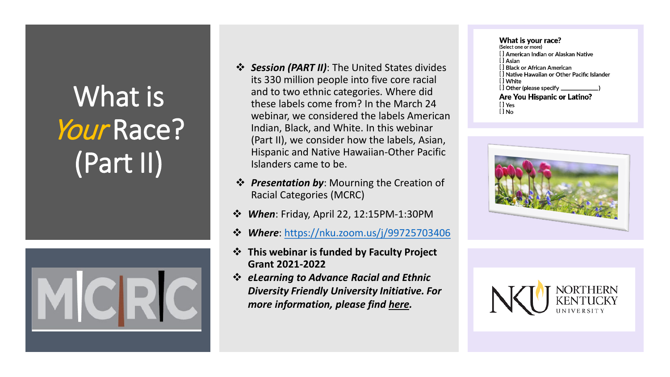## What is Your Race? (Part II)



- *Session (PART II)*: The United States divides its 330 million people into five core racial and to two ethnic categories. Where did these labels come from? In the March 24 webinar, we considered the labels American Indian, Black, and White. In this webinar (Part II), we consider how the labels, Asian, Hispanic and Native Hawaiian-Other Pacific Islanders came to be.
- *❖ Presentation by:* Mourning the Creation of Racial Categories (MCRC)
- *When*: Friday, April 22, 12:15PM-1:30PM
- *Where*: [https://nku.zoom.us/j/99725703406](https://nam12.safelinks.protection.outlook.com/?url=https%3A%2F%2Fnku.zoom.us%2Fj%2F99725703406&data=04%7C01%7Ckims16%40nku.edu%7C087522bc548b4e23b96e08d9f6d62daa%7Cac3218551f554d0bb2fa531085ca3022%7C0%7C0%7C637812222011506975%7CUnknown%7CTWFpbGZsb3d8eyJWIjoiMC4wLjAwMDAiLCJQIjoiV2luMzIiLCJBTiI6Ik1haWwiLCJXVCI6Mn0%3D%7C3000&sdata=ii3P%2BrYvtFZ5q2RYp8svzyfnF6qZVkdy9fPooKCVn3s%3D&reserved=0)
- **This webinar is funded by Faculty Project Grant 2021-2022**
- *eLearning to Advance Racial and Ethnic Diversity Friendly University Initiative. For more information, please find [here.](https://inside.nku.edu/elearning-diversity.html)*

## What is your race? (Select one or more) [ ] American Indian or Alaskan Native [ ] Asian [ ] Black or African American [] Native Hawaiian or Other Pacific Islander [] White **Are You Hispanic or Latino?** [] Yes  $[]$  No



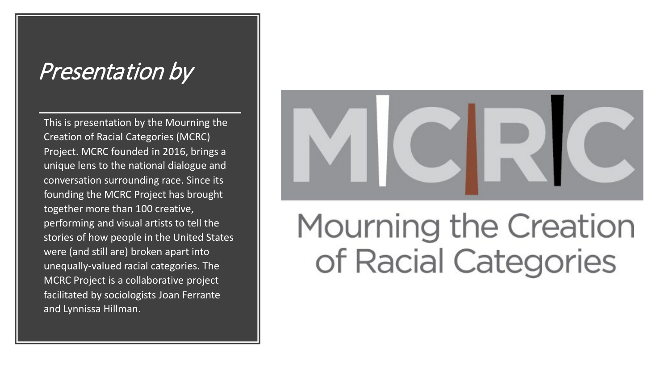## Presentation by

This is presentation by the Mourning the Creation of Racial Categories (MCRC) Project. MCRC founded in 2016, brings a unique lens to the national dialogue and conversation surrounding race. Since its founding the MCRC Project has brought together more than 100 creative, performing and visual artists to tell the stories of how people in the United States were (and still are) broken apart into unequally-valued racial categories. The MCRC Project is a collaborative project facilitated by sociologists Joan Ferrante and Lynnissa Hillman.



## Mourning the Creation of Racial Categories